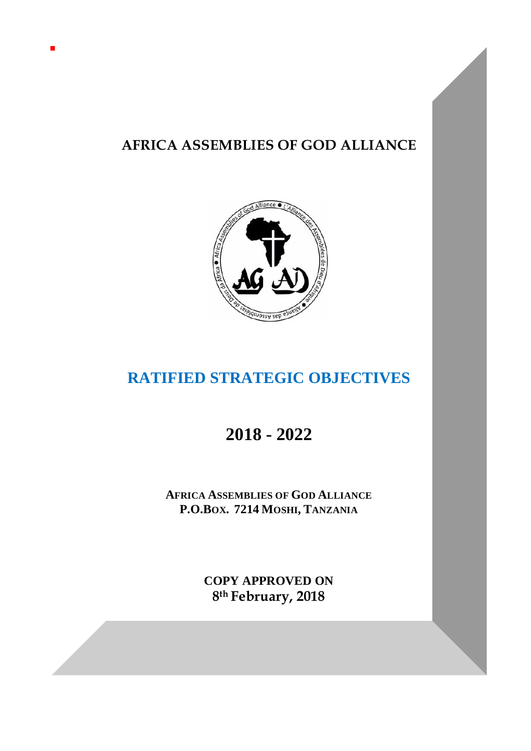# **AFRICA ASSEMBLIES OF GOD ALLIANCE**



# **RATIFIED STRATEGIC OBJECTIVES**

# **2018 - 2022**

**AFRICA ASSEMBLIES OF GOD ALLIANCE P.O.BOX. 7214 MOSHI, TANZANIA**

> **COPY APPROVED ON 8th February, 2018**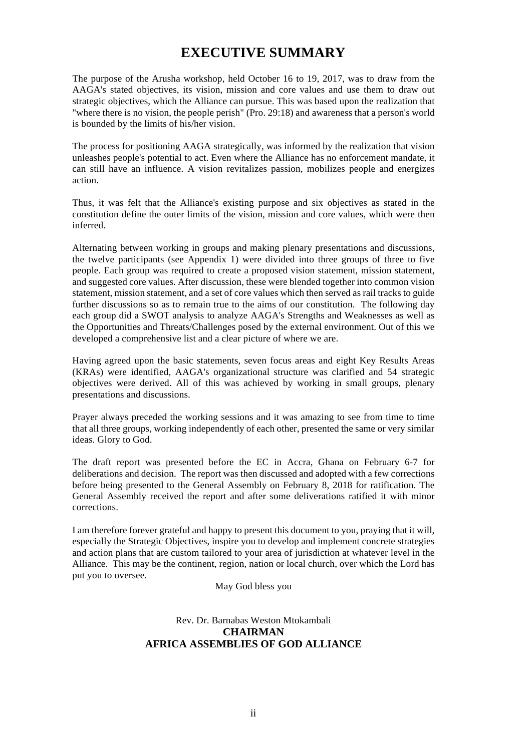### **EXECUTIVE SUMMARY**

The purpose of the Arusha workshop, held October 16 to 19, 2017, was to draw from the AAGA's stated objectives, its vision, mission and core values and use them to draw out strategic objectives, which the Alliance can pursue. This was based upon the realization that "where there is no vision, the people perish" (Pro. 29:18) and awareness that a person's world is bounded by the limits of his/her vision.

The process for positioning AAGA strategically, was informed by the realization that vision unleashes people's potential to act. Even where the Alliance has no enforcement mandate, it can still have an influence. A vision revitalizes passion, mobilizes people and energizes action.

Thus, it was felt that the Alliance's existing purpose and six objectives as stated in the constitution define the outer limits of the vision, mission and core values, which were then inferred.

Alternating between working in groups and making plenary presentations and discussions, the twelve participants (see Appendix 1) were divided into three groups of three to five people. Each group was required to create a proposed vision statement, mission statement, and suggested core values. After discussion, these were blended together into common vision statement, mission statement, and a set of core values which then served as rail tracks to guide further discussions so as to remain true to the aims of our constitution. The following day each group did a SWOT analysis to analyze AAGA's Strengths and Weaknesses as well as the Opportunities and Threats/Challenges posed by the external environment. Out of this we developed a comprehensive list and a clear picture of where we are.

Having agreed upon the basic statements, seven focus areas and eight Key Results Areas (KRAs) were identified, AAGA's organizational structure was clarified and 54 strategic objectives were derived. All of this was achieved by working in small groups, plenary presentations and discussions.

Prayer always preceded the working sessions and it was amazing to see from time to time that all three groups, working independently of each other, presented the same or very similar ideas. Glory to God.

The draft report was presented before the EC in Accra, Ghana on February 6-7 for deliberations and decision. The report was then discussed and adopted with a few corrections before being presented to the General Assembly on February 8, 2018 for ratification. The General Assembly received the report and after some deliverations ratified it with minor corrections.

I am therefore forever grateful and happy to present this document to you, praying that it will, especially the Strategic Objectives, inspire you to develop and implement concrete strategies and action plans that are custom tailored to your area of jurisdiction at whatever level in the Alliance. This may be the continent, region, nation or local church, over which the Lord has put you to oversee.

May God bless you

#### Rev. Dr. Barnabas Weston Mtokambali **CHAIRMAN AFRICA ASSEMBLIES OF GOD ALLIANCE**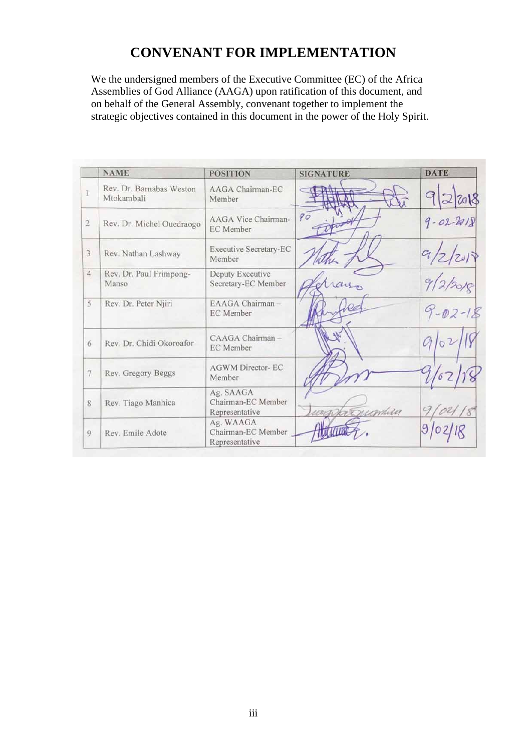## **CONVENANT FOR IMPLEMENTATION**

We the undersigned members of the Executive Committee (EC) of the Africa Assemblies of God Alliance (AAGA) upon ratification of this document, and on behalf of the General Assembly, convenant together to implement the strategic objectives contained in this document in the power of the Holy Spirit.

|                | <b>NAME</b>                            | <b>POSITION</b>                                   | <b>SIGNATURE</b> | <b>DATE</b>     |
|----------------|----------------------------------------|---------------------------------------------------|------------------|-----------------|
|                | Rev. Dr. Barnabas Weston<br>Mtokambali | AAGA Chairman-EC<br>Member                        |                  | 2018            |
| $\overline{2}$ | Rev. Dr. Michel Ouedraogo              | AAGA Vice Chairman-<br>EC Member                  | 90               | $9 - 02 - 2018$ |
| $\mathbf{3}$   | Rev. Nathan Lashway                    | <b>Executive Secretary-EC</b><br>Member           |                  | 2/2019          |
| $\overline{4}$ | Rev. Dr. Paul Frimpong-<br>Manso       | Deputy Executive<br>Secretary-EC Member           |                  | 9/2/2           |
| 5              | Rev. Dr. Peter Njiri                   | EAAGA Chairman-<br><b>EC</b> Member               |                  | $9 - 02 - 18$   |
| 6              | Rev. Dr. Chidi Okoroafor               | CAAGA Chairman-<br>EC Member                      |                  |                 |
| $\tau$         | Rev. Gregory Beggs                     | <b>AGWM Director-EC</b><br>Member                 |                  |                 |
| 8              | Rev. Tiago Manhica                     | Ag. SAAGA<br>Chairman-EC Member<br>Representative | arppressionlina  |                 |
| 9              | Rev. Emile Adote                       | Ag. WAAGA<br>Chairman-EC Member<br>Representative |                  |                 |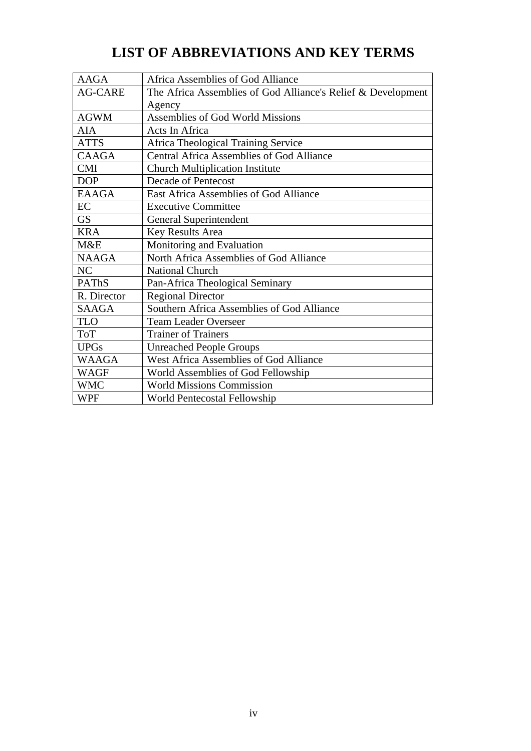| <b>AAGA</b>    | Africa Assemblies of God Alliance                            |
|----------------|--------------------------------------------------------------|
| <b>AG-CARE</b> | The Africa Assemblies of God Alliance's Relief & Development |
|                | Agency                                                       |
| <b>AGWM</b>    | Assemblies of God World Missions                             |
| AIA            | <b>Acts In Africa</b>                                        |
| <b>ATTS</b>    | Africa Theological Training Service                          |
| <b>CAAGA</b>   | <b>Central Africa Assemblies of God Alliance</b>             |
| <b>CMI</b>     | <b>Church Multiplication Institute</b>                       |
| <b>DOP</b>     | <b>Decade of Pentecost</b>                                   |
| <b>EAAGA</b>   | <b>East Africa Assemblies of God Alliance</b>                |
| EC             | <b>Executive Committee</b>                                   |
| <b>GS</b>      | General Superintendent                                       |
| <b>KRA</b>     | Key Results Area                                             |
| M&E            | Monitoring and Evaluation                                    |
| <b>NAAGA</b>   | North Africa Assemblies of God Alliance                      |
| NC             | <b>National Church</b>                                       |
| <b>PAThS</b>   | Pan-Africa Theological Seminary                              |
| R. Director    | <b>Regional Director</b>                                     |
| <b>SAAGA</b>   | Southern Africa Assemblies of God Alliance                   |
| <b>TLO</b>     | <b>Team Leader Overseer</b>                                  |
| <b>ToT</b>     | <b>Trainer of Trainers</b>                                   |
| <b>UPGs</b>    | <b>Unreached People Groups</b>                               |
| <b>WAAGA</b>   | <b>West Africa Assemblies of God Alliance</b>                |
| <b>WAGF</b>    | World Assemblies of God Fellowship                           |
| <b>WMC</b>     | <b>World Missions Commission</b>                             |
| WPF            | World Pentecostal Fellowship                                 |

# **LIST OF ABBREVIATIONS AND KEY TERMS**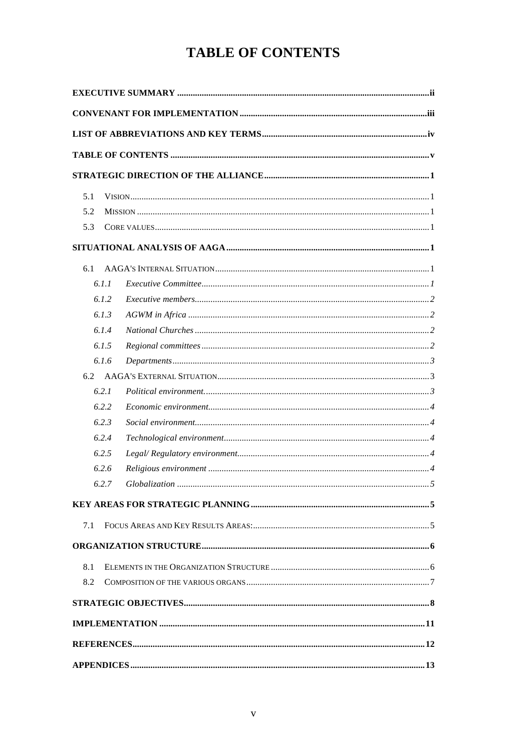## **TABLE OF CONTENTS**

| 5.1   |  |  |  |  |  |
|-------|--|--|--|--|--|
| 5.2   |  |  |  |  |  |
| 5.3   |  |  |  |  |  |
|       |  |  |  |  |  |
| 6.1   |  |  |  |  |  |
| 6.1.1 |  |  |  |  |  |
| 6.1.2 |  |  |  |  |  |
| 6.1.3 |  |  |  |  |  |
| 6.1.4 |  |  |  |  |  |
| 6.1.5 |  |  |  |  |  |
| 6.1.6 |  |  |  |  |  |
| 6.2   |  |  |  |  |  |
| 6.2.1 |  |  |  |  |  |
| 6.2.2 |  |  |  |  |  |
| 6.2.3 |  |  |  |  |  |
| 6.2.4 |  |  |  |  |  |
| 6.2.5 |  |  |  |  |  |
| 6.2.6 |  |  |  |  |  |
| 6.2.7 |  |  |  |  |  |
|       |  |  |  |  |  |
| 7.1   |  |  |  |  |  |
|       |  |  |  |  |  |
| 8.1   |  |  |  |  |  |
| 8.2   |  |  |  |  |  |
|       |  |  |  |  |  |
|       |  |  |  |  |  |
|       |  |  |  |  |  |
|       |  |  |  |  |  |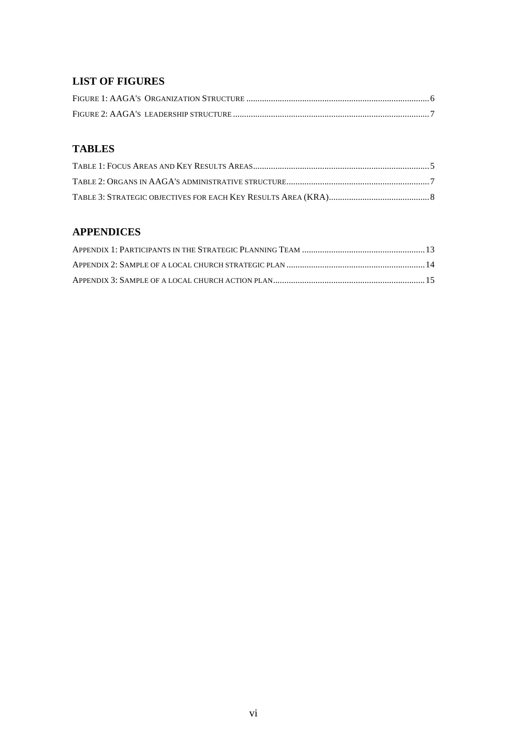#### **LIST OF FIGURES**

#### **TABLES**

### **APPENDICES**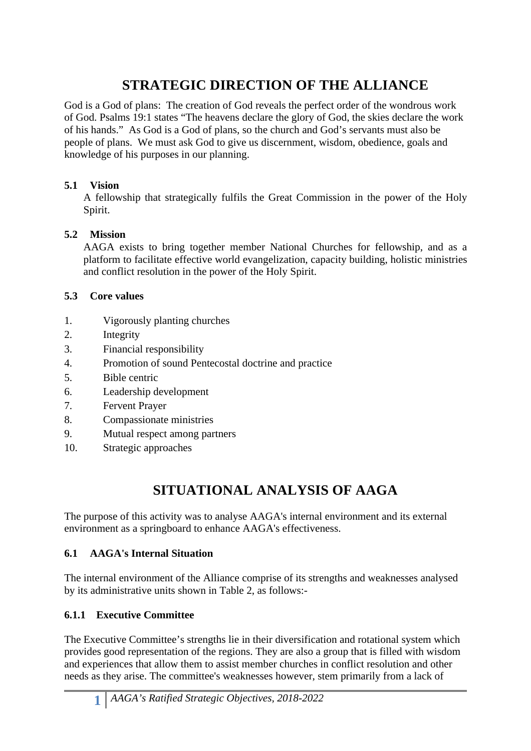# **STRATEGIC DIRECTION OF THE ALLIANCE**

God is a God of plans: The creation of God reveals the perfect order of the wondrous work of God. Psalms 19:1 states "The heavens declare the glory of God, the skies declare the work of his hands." As God is a God of plans, so the church and God's servants must also be people of plans. We must ask God to give us discernment, wisdom, obedience, goals and knowledge of his purposes in our planning.

### **5.1 Vision**

A fellowship that strategically fulfils the Great Commission in the power of the Holy Spirit.

#### **5.2 Mission**

AAGA exists to bring together member National Churches for fellowship, and as a platform to facilitate effective world evangelization, capacity building, holistic ministries and conflict resolution in the power of the Holy Spirit.

#### **5.3 Core values**

- 1. Vigorously planting churches
- 2. Integrity
- 3. Financial responsibility
- 4. Promotion of sound Pentecostal doctrine and practice
- 5. Bible centric
- 6. Leadership development
- 7. Fervent Prayer
- 8. Compassionate ministries
- 9. Mutual respect among partners
- 10. Strategic approaches

## **SITUATIONAL ANALYSIS OF AAGA**

The purpose of this activity was to analyse AAGA's internal environment and its external environment as a springboard to enhance AAGA's effectiveness.

### **6.1 AAGA's Internal Situation**

The internal environment of the Alliance comprise of its strengths and weaknesses analysed by its administrative units shown in Table 2, as follows:-

### **6.1.1 Executive Committee**

The Executive Committee's strengths lie in their diversification and rotational system which provides good representation of the regions. They are also a group that is filled with wisdom and experiences that allow them to assist member churches in conflict resolution and other needs as they arise. The committee's weaknesses however, stem primarily from a lack of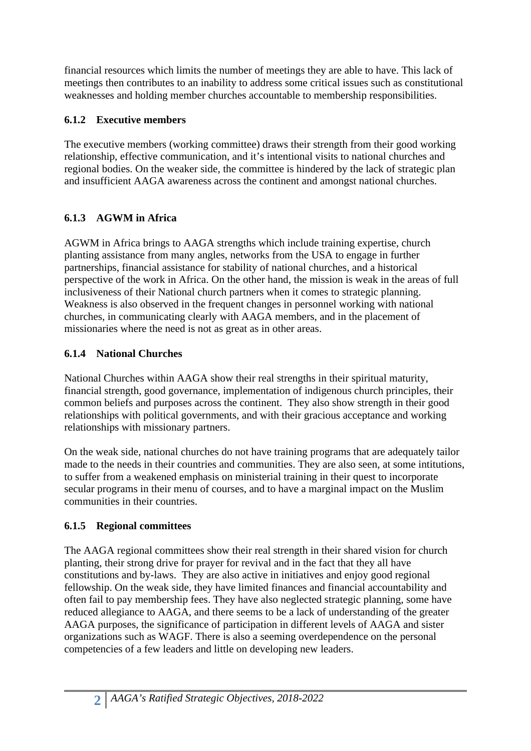financial resources which limits the number of meetings they are able to have. This lack of meetings then contributes to an inability to address some critical issues such as constitutional weaknesses and holding member churches accountable to membership responsibilities.

### **6.1.2 Executive members**

The executive members (working committee) draws their strength from their good working relationship, effective communication, and it's intentional visits to national churches and regional bodies. On the weaker side, the committee is hindered by the lack of strategic plan and insufficient AAGA awareness across the continent and amongst national churches.

### **6.1.3 AGWM in Africa**

AGWM in Africa brings to AAGA strengths which include training expertise, church planting assistance from many angles, networks from the USA to engage in further partnerships, financial assistance for stability of national churches, and a historical perspective of the work in Africa. On the other hand, the mission is weak in the areas of full inclusiveness of their National church partners when it comes to strategic planning. Weakness is also observed in the frequent changes in personnel working with national churches, in communicating clearly with AAGA members, and in the placement of missionaries where the need is not as great as in other areas.

### **6.1.4 National Churches**

National Churches within AAGA show their real strengths in their spiritual maturity, financial strength, good governance, implementation of indigenous church principles, their common beliefs and purposes across the continent. They also show strength in their good relationships with political governments, and with their gracious acceptance and working relationships with missionary partners.

On the weak side, national churches do not have training programs that are adequately tailor made to the needs in their countries and communities. They are also seen, at some intitutions, to suffer from a weakened emphasis on ministerial training in their quest to incorporate secular programs in their menu of courses, and to have a marginal impact on the Muslim communities in their countries.

### **6.1.5 Regional committees**

The AAGA regional committees show their real strength in their shared vision for church planting, their strong drive for prayer for revival and in the fact that they all have constitutions and by-laws. They are also active in initiatives and enjoy good regional fellowship. On the weak side, they have limited finances and financial accountability and often fail to pay membership fees. They have also neglected strategic planning, some have reduced allegiance to AAGA, and there seems to be a lack of understanding of the greater AAGA purposes, the significance of participation in different levels of AAGA and sister organizations such as WAGF. There is also a seeming overdependence on the personal competencies of a few leaders and little on developing new leaders.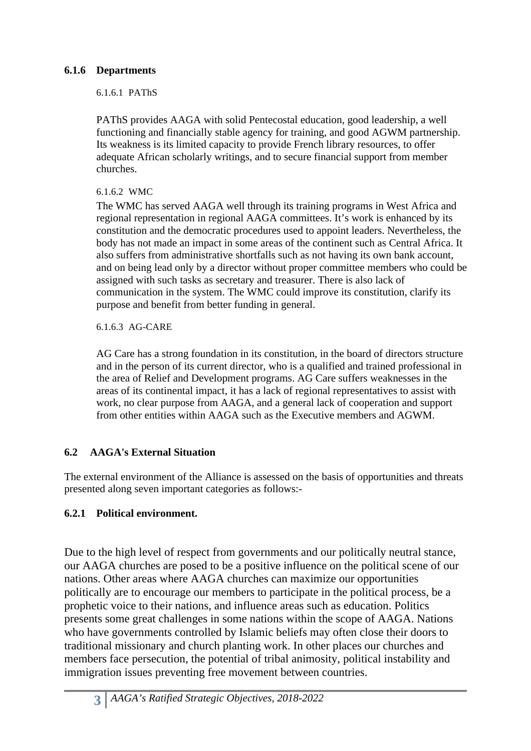### **6.1.6 Departments**

6.1.6.1 PAThS

PAThS provides AAGA with solid Pentecostal education, good leadership, a well functioning and financially stable agency for training, and good AGWM partnership. Its weakness is its limited capacity to provide French library resources, to offer adequate African scholarly writings, and to secure financial support from member churches.

### 6.1.6.2 WMC

The WMC has served AAGA well through its training programs in West Africa and regional representation in regional AAGA committees. It's work is enhanced by its constitution and the democratic procedures used to appoint leaders. Nevertheless, the body has not made an impact in some areas of the continent such as Central Africa. It also suffers from administrative shortfalls such as not having its own bank account, and on being lead only by a director without proper committee members who could be assigned with such tasks as secretary and treasurer. There is also lack of communication in the system. The WMC could improve its constitution, clarify its purpose and benefit from better funding in general.

6.1.6.3 AG-CARE

AG Care has a strong foundation in its constitution, in the board of directors structure and in the person of its current director, who is a qualified and trained professional in the area of Relief and Development programs. AG Care suffers weaknesses in the areas of its continental impact, it has a lack of regional representatives to assist with work, no clear purpose from AAGA, and a general lack of cooperation and support from other entities within AAGA such as the Executive members and AGWM.

### **6.2 AAGA's External Situation**

The external environment of the Alliance is assessed on the basis of opportunities and threats presented along seven important categories as follows:-

### **6.2.1 Political environment.**

Due to the high level of respect from governments and our politically neutral stance, our AAGA churches are posed to be a positive influence on the political scene of our nations. Other areas where AAGA churches can maximize our opportunities politically are to encourage our members to participate in the political process, be a prophetic voice to their nations, and influence areas such as education. Politics presents some great challenges in some nations within the scope of AAGA. Nations who have governments controlled by Islamic beliefs may often close their doors to traditional missionary and church planting work. In other places our churches and members face persecution, the potential of tribal animosity, political instability and immigration issues preventing free movement between countries.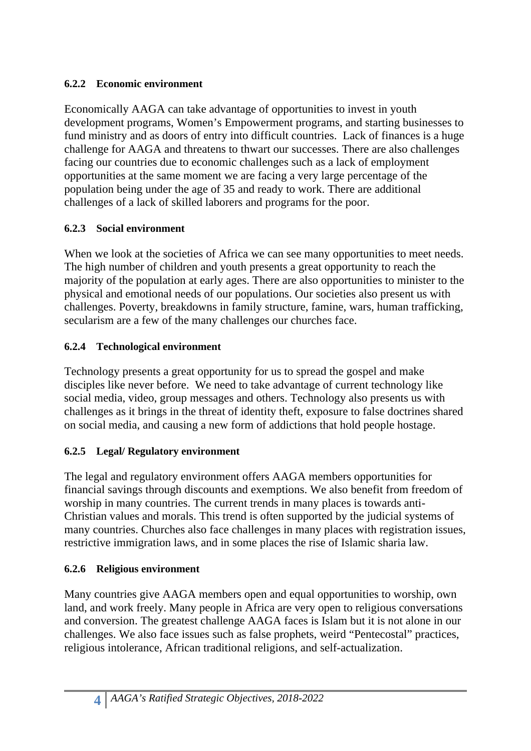### **6.2.2 Economic environment**

Economically AAGA can take advantage of opportunities to invest in youth development programs, Women's Empowerment programs, and starting businesses to fund ministry and as doors of entry into difficult countries. Lack of finances is a huge challenge for AAGA and threatens to thwart our successes. There are also challenges facing our countries due to economic challenges such as a lack of employment opportunities at the same moment we are facing a very large percentage of the population being under the age of 35 and ready to work. There are additional challenges of a lack of skilled laborers and programs for the poor.

## **6.2.3 Social environment**

When we look at the societies of Africa we can see many opportunities to meet needs. The high number of children and youth presents a great opportunity to reach the majority of the population at early ages. There are also opportunities to minister to the physical and emotional needs of our populations. Our societies also present us with challenges. Poverty, breakdowns in family structure, famine, wars, human trafficking, secularism are a few of the many challenges our churches face.

## **6.2.4 Technological environment**

Technology presents a great opportunity for us to spread the gospel and make disciples like never before. We need to take advantage of current technology like social media, video, group messages and others. Technology also presents us with challenges as it brings in the threat of identity theft, exposure to false doctrines shared on social media, and causing a new form of addictions that hold people hostage.

## **6.2.5 Legal/ Regulatory environment**

The legal and regulatory environment offers AAGA members opportunities for financial savings through discounts and exemptions. We also benefit from freedom of worship in many countries. The current trends in many places is towards anti-Christian values and morals. This trend is often supported by the judicial systems of many countries. Churches also face challenges in many places with registration issues, restrictive immigration laws, and in some places the rise of Islamic sharia law.

## **6.2.6 Religious environment**

Many countries give AAGA members open and equal opportunities to worship, own land, and work freely. Many people in Africa are very open to religious conversations and conversion. The greatest challenge AAGA faces is Islam but it is not alone in our challenges. We also face issues such as false prophets, weird "Pentecostal" practices, religious intolerance, African traditional religions, and self-actualization.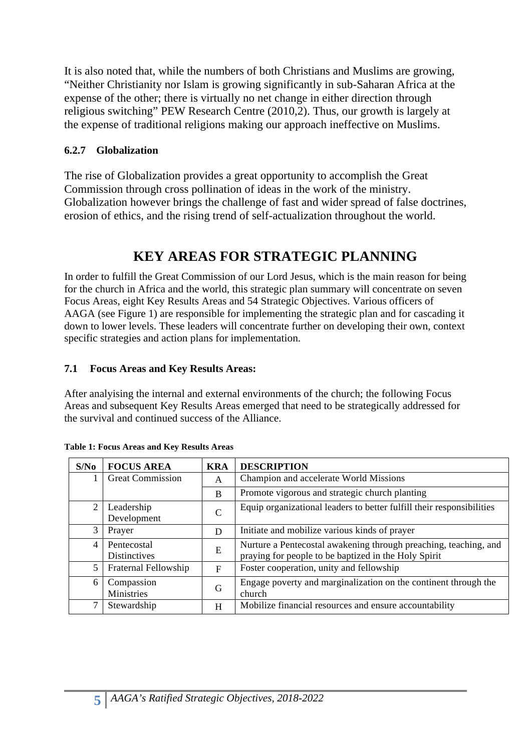It is also noted that, while the numbers of both Christians and Muslims are growing, "Neither Christianity nor Islam is growing significantly in sub-Saharan Africa at the expense of the other; there is virtually no net change in either direction through religious switching" PEW Research Centre (2010,2). Thus, our growth is largely at the expense of traditional religions making our approach ineffective on Muslims.

### **6.2.7 Globalization**

The rise of Globalization provides a great opportunity to accomplish the Great Commission through cross pollination of ideas in the work of the ministry. Globalization however brings the challenge of fast and wider spread of false doctrines, erosion of ethics, and the rising trend of self-actualization throughout the world.

## **KEY AREAS FOR STRATEGIC PLANNING**

In order to fulfill the Great Commission of our Lord Jesus, which is the main reason for being for the church in Africa and the world, this strategic plan summary will concentrate on seven Focus Areas, eight Key Results Areas and 54 Strategic Objectives. Various officers of AAGA (see Figure 1) are responsible for implementing the strategic plan and for cascading it down to lower levels. These leaders will concentrate further on developing their own, context specific strategies and action plans for implementation.

### **7.1 Focus Areas and Key Results Areas:**

After analyising the internal and external environments of the church; the following Focus Areas and subsequent Key Results Areas emerged that need to be strategically addressed for the survival and continued success of the Alliance.

| S/No           | <b>FOCUS AREA</b>                  | <b>KRA</b>  | <b>DESCRIPTION</b>                                                                                                       |
|----------------|------------------------------------|-------------|--------------------------------------------------------------------------------------------------------------------------|
|                | <b>Great Commission</b>            | A           | Champion and accelerate World Missions                                                                                   |
|                |                                    | B           | Promote vigorous and strategic church planting                                                                           |
| $\overline{2}$ | Leadership<br>Development          | $\mathbf C$ | Equip organizational leaders to better fulfill their responsibilities                                                    |
| 3              | Prayer                             | D           | Initiate and mobilize various kinds of prayer                                                                            |
| $\overline{4}$ | Pentecostal<br><b>Distinctives</b> | E           | Nurture a Pentecostal awakening through preaching, teaching, and<br>praying for people to be baptized in the Holy Spirit |
| 5 <sup>5</sup> | Fraternal Fellowship               | F           | Foster cooperation, unity and fellowship                                                                                 |
| 6              | Compassion<br>Ministries           | G           | Engage poverty and marginalization on the continent through the<br>church                                                |
|                | Stewardship                        | H           | Mobilize financial resources and ensure accountability                                                                   |

|  |  | Table 1: Focus Areas and Key Results Areas |  |
|--|--|--------------------------------------------|--|
|  |  |                                            |  |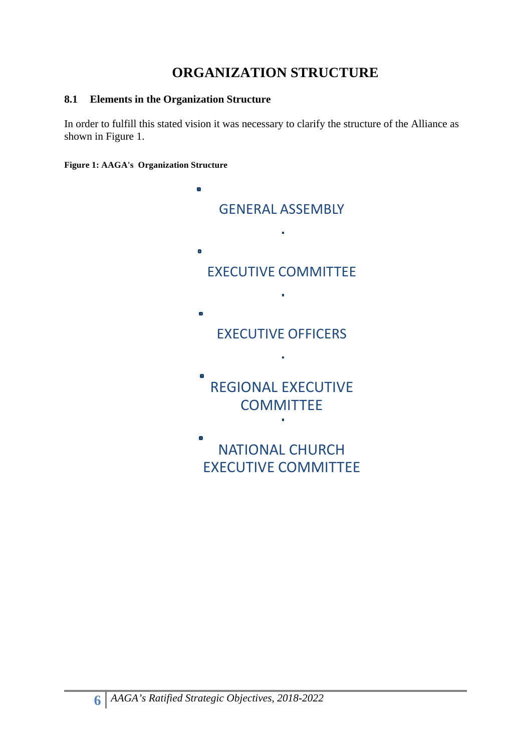## **ORGANIZATION STRUCTURE**

### **8.1 Elements in the Organization Structure**

In order to fulfill this stated vision it was necessary to clarify the structure of the Alliance as shown in Figure 1.

**Figure 1: AAGA's Organization Structure**

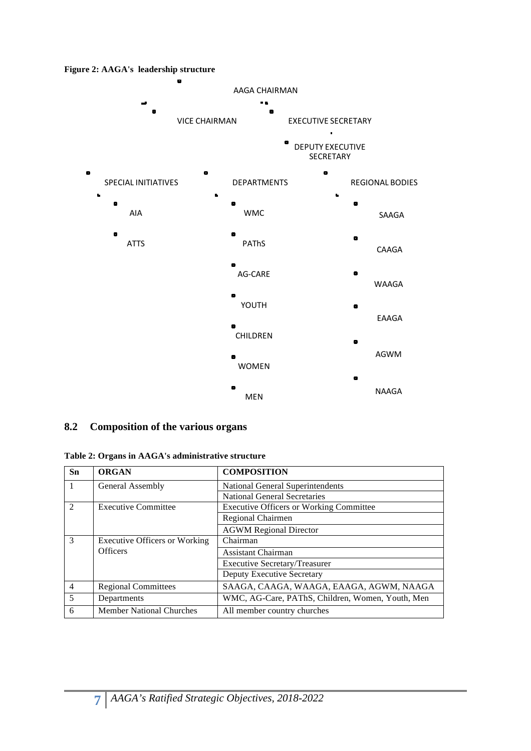**Figure 2: AAGA's leadership structure**



### **8.2 Composition of the various organs**

**Table 2: Organs in AAGA's administrative structure**

| Sn             | <b>ORGAN</b>                         | <b>COMPOSITION</b>                               |
|----------------|--------------------------------------|--------------------------------------------------|
|                | General Assembly                     | National General Superintendents                 |
|                |                                      | National General Secretaries                     |
| $\mathcal{D}$  | <b>Executive Committee</b>           | <b>Executive Officers or Working Committee</b>   |
|                |                                      | Regional Chairmen                                |
|                |                                      | <b>AGWM Regional Director</b>                    |
| $\mathcal{R}$  | <b>Executive Officers or Working</b> | Chairman                                         |
|                | <b>Officers</b>                      | Assistant Chairman                               |
|                |                                      | <b>Executive Secretary/Treasurer</b>             |
|                |                                      | Deputy Executive Secretary                       |
| $\overline{4}$ | <b>Regional Committees</b>           | SAAGA, CAAGA, WAAGA, EAAGA, AGWM, NAAGA          |
| 5              | Departments                          | WMC, AG-Care, PAThS, Children, Women, Youth, Men |
| 6              | <b>Member National Churches</b>      | All member country churches                      |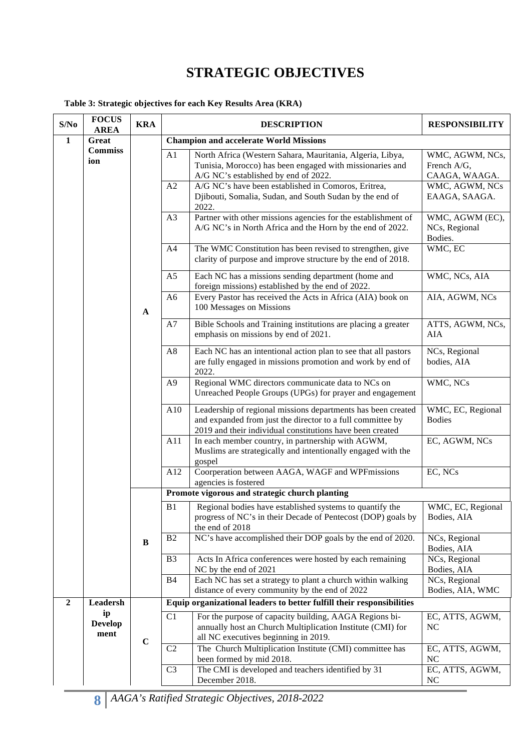## **STRATEGIC OBJECTIVES**

#### **Table 3: Strategic objectives for each Key Results Area (KRA)**

| S/No           | <b>FOCUS</b><br><b>AREA</b>  | <b>KRA</b>   |                | <b>DESCRIPTION</b>                                                                                                                                                                                                                                                              | <b>RESPONSIBILITY</b>                                                              |
|----------------|------------------------------|--------------|----------------|---------------------------------------------------------------------------------------------------------------------------------------------------------------------------------------------------------------------------------------------------------------------------------|------------------------------------------------------------------------------------|
| $\mathbf{1}$   | Great                        |              |                | <b>Champion and accelerate World Missions</b>                                                                                                                                                                                                                                   |                                                                                    |
|                | <b>Commiss</b><br>ion        |              | A1<br>A2       | North Africa (Western Sahara, Mauritania, Algeria, Libya,<br>Tunisia, Morocco) has been engaged with missionaries and<br>A/G NC's established by end of 2022.<br>A/G NC's have been established in Comoros, Eritrea,<br>Djibouti, Somalia, Sudan, and South Sudan by the end of | WMC, AGWM, NCs,<br>French A/G,<br>CAAGA, WAAGA.<br>WMC, AGWM, NCs<br>EAAGA, SAAGA. |
|                |                              |              | A3             | 2022.<br>Partner with other missions agencies for the establishment of<br>A/G NC's in North Africa and the Horn by the end of 2022.                                                                                                                                             | WMC, AGWM (EC),<br>NCs, Regional<br>Bodies.                                        |
|                |                              |              | A4             | The WMC Constitution has been revised to strengthen, give<br>clarity of purpose and improve structure by the end of 2018.                                                                                                                                                       | WMC, EC                                                                            |
|                |                              |              | A <sub>5</sub> | Each NC has a missions sending department (home and<br>foreign missions) established by the end of 2022.                                                                                                                                                                        | WMC, NCs, AIA                                                                      |
|                |                              | $\mathbf{A}$ | A <sub>6</sub> | Every Pastor has received the Acts in Africa (AIA) book on<br>100 Messages on Missions                                                                                                                                                                                          | AIA, AGWM, NCs                                                                     |
|                |                              |              | A7             | Bible Schools and Training institutions are placing a greater<br>emphasis on missions by end of 2021.                                                                                                                                                                           | ATTS, AGWM, NCs,<br><b>AIA</b>                                                     |
|                |                              |              | A8             | Each NC has an intentional action plan to see that all pastors<br>are fully engaged in missions promotion and work by end of<br>2022.                                                                                                                                           | NCs, Regional<br>bodies, AIA                                                       |
|                |                              |              | A <sub>9</sub> | Regional WMC directors communicate data to NCs on<br>Unreached People Groups (UPGs) for prayer and engagement                                                                                                                                                                   | WMC, NCs                                                                           |
|                |                              |              | A10            | Leadership of regional missions departments has been created<br>and expanded from just the director to a full committee by<br>2019 and their individual constitutions have been created                                                                                         | WMC, EC, Regional<br><b>Bodies</b>                                                 |
|                |                              |              | A11            | In each member country, in partnership with AGWM,<br>Muslims are strategically and intentionally engaged with the<br>gospel                                                                                                                                                     | EC, AGWM, NCs                                                                      |
|                |                              |              | A12            | Coorperation between AAGA, WAGF and WPFmissions<br>agencies is fostered                                                                                                                                                                                                         | EC, NCs                                                                            |
|                |                              |              |                | Promote vigorous and strategic church planting                                                                                                                                                                                                                                  |                                                                                    |
|                |                              |              | B1             | Regional bodies have established systems to quantify the<br>progress of NC's in their Decade of Pentecost (DOP) goals by<br>the end of 2018                                                                                                                                     | WMC, EC, Regional<br>Bodies, AIA                                                   |
|                |                              | B            | B <sub>2</sub> | NC's have accomplished their DOP goals by the end of 2020.                                                                                                                                                                                                                      | NCs, Regional<br>Bodies, AIA                                                       |
|                |                              |              | B <sub>3</sub> | Acts In Africa conferences were hosted by each remaining<br>NC by the end of 2021                                                                                                                                                                                               | NCs, Regional<br>Bodies, AIA                                                       |
|                |                              |              | <b>B4</b>      | Each NC has set a strategy to plant a church within walking<br>distance of every community by the end of 2022                                                                                                                                                                   | NCs, Regional<br>Bodies, AIA, WMC                                                  |
| $\overline{2}$ | Leadersh                     |              |                | Equip organizational leaders to better fulfill their responsibilities                                                                                                                                                                                                           |                                                                                    |
|                | ip<br><b>Develop</b><br>ment |              | C1             | For the purpose of capacity building, AAGA Regions bi-<br>annually host an Church Multiplication Institute (CMI) for<br>all NC executives beginning in 2019.                                                                                                                    | EC, ATTS, AGWM,<br>N <sub>C</sub>                                                  |
|                |                              | $\mathbf C$  | C2             | The Church Multiplication Institute (CMI) committee has<br>been formed by mid 2018.                                                                                                                                                                                             | EC, ATTS, AGWM,<br>NC                                                              |
|                |                              |              | C <sub>3</sub> | The CMI is developed and teachers identified by 31<br>December 2018.                                                                                                                                                                                                            | EC, ATTS, AGWM,<br><b>NC</b>                                                       |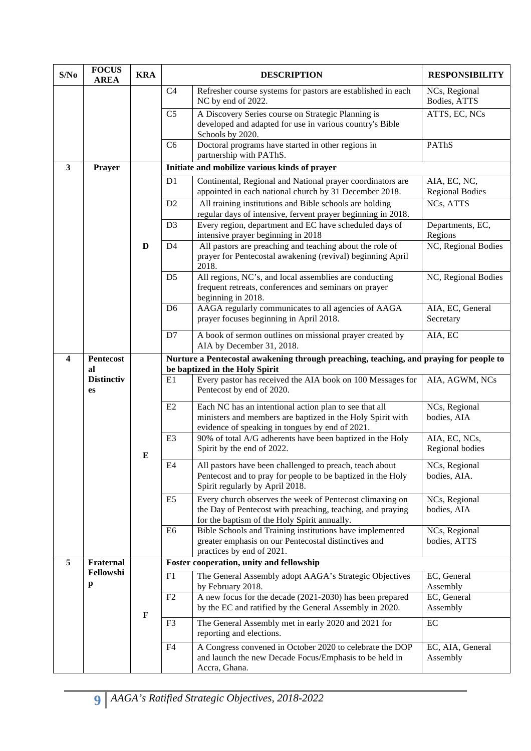| S/No                    | <b>FOCUS</b><br><b>AREA</b> | <b>KRA</b>   | <b>DESCRIPTION</b> |                                                                                                                                                                         | <b>RESPONSIBILITY</b>                  |  |  |  |  |
|-------------------------|-----------------------------|--------------|--------------------|-------------------------------------------------------------------------------------------------------------------------------------------------------------------------|----------------------------------------|--|--|--|--|
|                         |                             |              | C <sub>4</sub>     | Refresher course systems for pastors are established in each<br>NC by end of 2022.                                                                                      | NCs, Regional<br>Bodies, ATTS          |  |  |  |  |
|                         |                             |              | C <sub>5</sub>     | A Discovery Series course on Strategic Planning is<br>developed and adapted for use in various country's Bible<br>Schools by 2020.                                      | ATTS, EC, NCs                          |  |  |  |  |
|                         |                             |              | C <sub>6</sub>     | Doctoral programs have started in other regions in<br>partnership with PAThS.                                                                                           | PAThS                                  |  |  |  |  |
| $\mathbf{3}$            | Prayer                      |              |                    | Initiate and mobilize various kinds of prayer                                                                                                                           |                                        |  |  |  |  |
|                         |                             |              | D <sub>1</sub>     | Continental, Regional and National prayer coordinators are<br>appointed in each national church by 31 December 2018.                                                    | AIA, EC, NC,<br><b>Regional Bodies</b> |  |  |  |  |
|                         |                             |              | D2                 | All training institutions and Bible schools are holding<br>regular days of intensive, fervent prayer beginning in 2018.                                                 | NCs, ATTS                              |  |  |  |  |
|                         |                             |              | D <sub>3</sub>     | Every region, department and EC have scheduled days of<br>intensive prayer beginning in 2018                                                                            | Departments, EC,<br>Regions            |  |  |  |  |
|                         |                             | D            | D <sub>4</sub>     | All pastors are preaching and teaching about the role of<br>prayer for Pentecostal awakening (revival) beginning April<br>2018.                                         | NC, Regional Bodies                    |  |  |  |  |
|                         |                             |              | D <sub>5</sub>     | All regions, NC's, and local assemblies are conducting<br>frequent retreats, conferences and seminars on prayer<br>beginning in 2018.                                   | NC, Regional Bodies                    |  |  |  |  |
|                         |                             |              | D <sub>6</sub>     | AAGA regularly communicates to all agencies of AAGA<br>prayer focuses beginning in April 2018.                                                                          | AIA, EC, General<br>Secretary          |  |  |  |  |
|                         |                             |              | D7                 | A book of sermon outlines on missional prayer created by<br>AIA by December 31, 2018.                                                                                   | AIA, EC                                |  |  |  |  |
| $\overline{\mathbf{4}}$ | Pentecost<br>al             |              |                    | Nurture a Pentecostal awakening through preaching, teaching, and praying for people to<br>be baptized in the Holy Spirit                                                |                                        |  |  |  |  |
|                         | <b>Distinctiv</b><br>es     |              | E1                 | Every pastor has received the AIA book on 100 Messages for<br>Pentecost by end of 2020.                                                                                 | AIA, AGWM, NCs                         |  |  |  |  |
|                         |                             |              | E2                 | Each NC has an intentional action plan to see that all<br>ministers and members are baptized in the Holy Spirit with<br>evidence of speaking in tongues by end of 2021. | NCs, Regional<br>bodies, AIA           |  |  |  |  |
|                         |                             | E            | E3                 | 90% of total A/G adherents have been baptized in the Holy<br>Spirit by the end of 2022.                                                                                 | AIA, EC, NCs,<br>Regional bodies       |  |  |  |  |
|                         |                             |              | $\rm E4$           | All pastors have been challenged to preach, teach about<br>Pentecost and to pray for people to be baptized in the Holy<br>Spirit regularly by April 2018.               | NCs, Regional<br>bodies, AIA.          |  |  |  |  |
|                         |                             |              | E <sub>5</sub>     | Every church observes the week of Pentecost climaxing on<br>the Day of Pentecost with preaching, teaching, and praying<br>for the baptism of the Holy Spirit annually.  | NCs, Regional<br>bodies, AIA           |  |  |  |  |
|                         |                             |              | E6                 | Bible Schools and Training institutions have implemented<br>greater emphasis on our Pentecostal distinctives and<br>practices by end of 2021.                           | NCs, Regional<br>bodies, ATTS          |  |  |  |  |
| 5                       | Fraternal                   |              |                    | Foster cooperation, unity and fellowship                                                                                                                                |                                        |  |  |  |  |
|                         | Fellowshi<br>p              |              | F1                 | The General Assembly adopt AAGA's Strategic Objectives<br>by February 2018.                                                                                             | EC, General<br>Assembly                |  |  |  |  |
|                         |                             | $\mathbf{F}$ | F2                 | A new focus for the decade (2021-2030) has been prepared<br>by the EC and ratified by the General Assembly in 2020.                                                     | EC, General<br>Assembly                |  |  |  |  |
|                         |                             |              | F3                 | The General Assembly met in early 2020 and 2021 for<br>reporting and elections.                                                                                         | $\rm EC$                               |  |  |  |  |
|                         |                             |              | F4                 | A Congress convened in October 2020 to celebrate the DOP<br>and launch the new Decade Focus/Emphasis to be held in<br>Accra, Ghana.                                     | EC, AIA, General<br>Assembly           |  |  |  |  |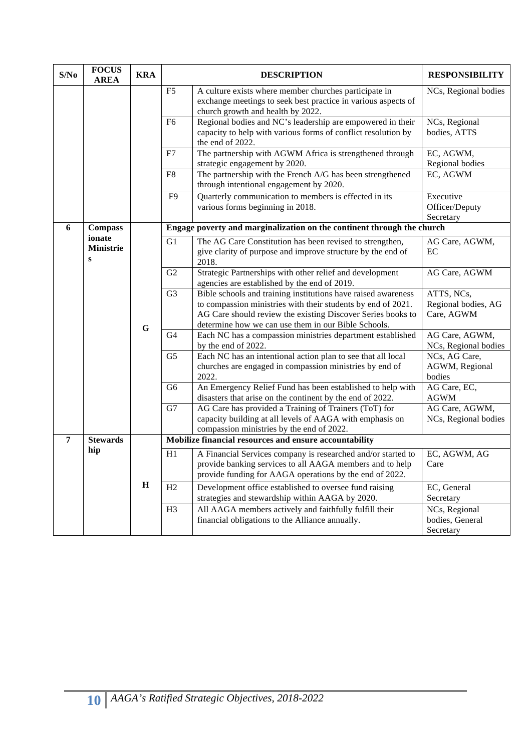| S/No | <b>FOCUS</b><br><b>AREA</b>            | <b>KRA</b>  | <b>DESCRIPTION</b> |                                                                                                                                                                                                                                                     | <b>RESPONSIBILITY</b>                           |
|------|----------------------------------------|-------------|--------------------|-----------------------------------------------------------------------------------------------------------------------------------------------------------------------------------------------------------------------------------------------------|-------------------------------------------------|
|      |                                        |             | F <sub>5</sub>     | A culture exists where member churches participate in<br>exchange meetings to seek best practice in various aspects of<br>church growth and health by 2022.                                                                                         | NCs, Regional bodies                            |
|      |                                        |             | F <sub>6</sub>     | Regional bodies and NC's leadership are empowered in their<br>capacity to help with various forms of conflict resolution by<br>the end of 2022.                                                                                                     | NCs, Regional<br>bodies, ATTS                   |
|      |                                        |             | F7                 | The partnership with AGWM Africa is strengthened through<br>strategic engagement by 2020.                                                                                                                                                           | EC, AGWM,<br>Regional bodies                    |
|      |                                        |             | ${\rm F}8$         | The partnership with the French A/G has been strengthened<br>through intentional engagement by 2020.                                                                                                                                                | EC, AGWM                                        |
|      |                                        |             | F <sub>9</sub>     | Quarterly communication to members is effected in its<br>various forms beginning in 2018.                                                                                                                                                           | Executive<br>Officer/Deputy<br>Secretary        |
| 6    | <b>Compass</b>                         |             |                    | Engage poverty and marginalization on the continent through the church                                                                                                                                                                              |                                                 |
|      | ionate<br><b>Ministrie</b><br>$\bf{s}$ |             | G1                 | The AG Care Constitution has been revised to strengthen,<br>give clarity of purpose and improve structure by the end of<br>2018.                                                                                                                    | AG Care, AGWM,<br>EC                            |
|      |                                        |             | G2                 | Strategic Partnerships with other relief and development<br>agencies are established by the end of 2019.                                                                                                                                            | AG Care, AGWM                                   |
|      |                                        |             | G <sub>3</sub>     | Bible schools and training institutions have raised awareness<br>to compassion ministries with their students by end of 2021.<br>AG Care should review the existing Discover Series books to<br>determine how we can use them in our Bible Schools. | ATTS, NCs,<br>Regional bodies, AG<br>Care, AGWM |
|      |                                        | $\mathbf G$ | G4                 | Each NC has a compassion ministries department established<br>by the end of 2022.                                                                                                                                                                   | AG Care, AGWM,<br>NCs, Regional bodies          |
|      |                                        |             | G <sub>5</sub>     | Each NC has an intentional action plan to see that all local<br>churches are engaged in compassion ministries by end of<br>2022.                                                                                                                    | NCs, AG Care,<br>AGWM, Regional<br>bodies       |
|      |                                        |             | G <sub>6</sub>     | An Emergency Relief Fund has been established to help with<br>disasters that arise on the continent by the end of 2022.                                                                                                                             | AG Care, EC,<br><b>AGWM</b>                     |
|      |                                        |             | G7                 | AG Care has provided a Training of Trainers (ToT) for<br>capacity building at all levels of AAGA with emphasis on<br>compassion ministries by the end of 2022.                                                                                      | AG Care, AGWM,<br>NCs, Regional bodies          |
| 7    | <b>Stewards</b>                        |             |                    | Mobilize financial resources and ensure accountability                                                                                                                                                                                              |                                                 |
|      | hip                                    |             | H1                 | A Financial Services company is researched and/or started to<br>provide banking services to all AAGA members and to help<br>provide funding for AAGA operations by the end of 2022.                                                                 | EC, AGWM, AG<br>Care                            |
|      |                                        | $\mathbf H$ | H2                 | Development office established to oversee fund raising<br>strategies and stewardship within AAGA by 2020.                                                                                                                                           | EC, General<br>Secretary                        |
|      |                                        |             | H <sub>3</sub>     | All AAGA members actively and faithfully fulfill their<br>financial obligations to the Alliance annually.                                                                                                                                           | NCs, Regional<br>bodies, General<br>Secretary   |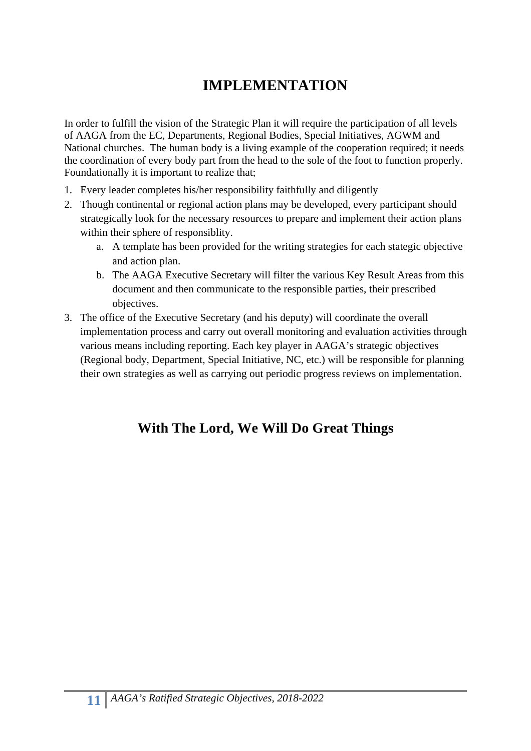# **IMPLEMENTATION**

In order to fulfill the vision of the Strategic Plan it will require the participation of all levels of AAGA from the EC, Departments, Regional Bodies, Special Initiatives, AGWM and National churches. The human body is a living example of the cooperation required; it needs the coordination of every body part from the head to the sole of the foot to function properly. Foundationally it is important to realize that;

- 1. Every leader completes his/her responsibility faithfully and diligently
- 2. Though continental or regional action plans may be developed, every participant should strategically look for the necessary resources to prepare and implement their action plans within their sphere of responsiblity.
	- a. A template has been provided for the writing strategies for each stategic objective and action plan.
	- b. The AAGA Executive Secretary will filter the various Key Result Areas from this document and then communicate to the responsible parties, their prescribed objectives.
- 3. The office of the Executive Secretary (and his deputy) will coordinate the overall implementation process and carry out overall monitoring and evaluation activities through various means including reporting. Each key player in AAGA's strategic objectives (Regional body, Department, Special Initiative, NC, etc.) will be responsible for planning their own strategies as well as carrying out periodic progress reviews on implementation.

# **With The Lord, We Will Do Great Things**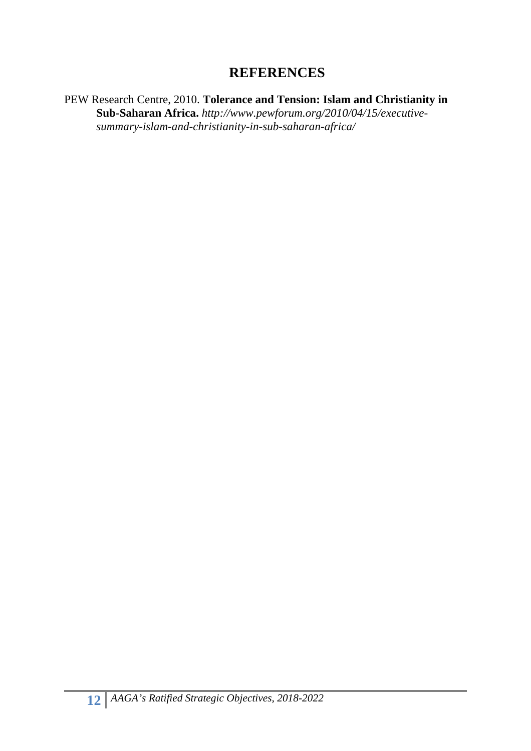## **REFERENCES**

PEW Research Centre, 2010. **Tolerance and Tension: Islam and Christianity in Sub-Saharan Africa.** *http://www.pewforum.org/2010/04/15/executivesummary-islam-and-christianity-in-sub-saharan-africa/*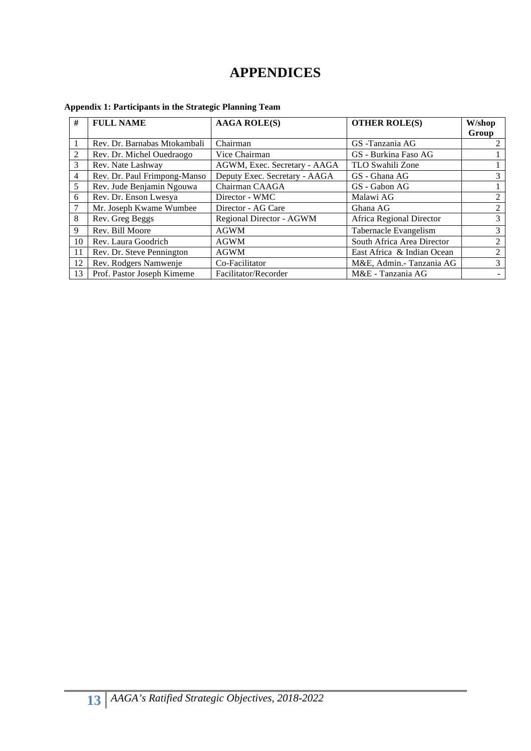## **APPENDICES**

| #              | <b>FULL NAME</b>             | <b>AAGA ROLE(S)</b>           | <b>OTHER ROLE(S)</b>       | W/shop<br>Group |  |
|----------------|------------------------------|-------------------------------|----------------------------|-----------------|--|
|                | Rev. Dr. Barnabas Mtokambali | Chairman                      | GS-Tanzania AG             |                 |  |
| $\overline{2}$ | Rev. Dr. Michel Ouedraogo    | Vice Chairman                 | GS - Burkina Faso AG       |                 |  |
| 3              | Rev. Nate Lashway            | AGWM, Exec. Secretary - AAGA  | TLO Swahili Zone           |                 |  |
| $\overline{4}$ | Rev. Dr. Paul Frimpong-Manso | Deputy Exec. Secretary - AAGA | GS - Ghana AG              | 3               |  |
| 5              | Rev. Jude Benjamin Ngouwa    | Chairman CAAGA                | GS - Gabon AG              |                 |  |
| 6              | Rev. Dr. Enson Lwesya        | Director - WMC                | Malawi AG                  | 2               |  |
| 7              | Mr. Joseph Kwame Wumbee      | Director - AG Care            | Ghana AG                   | 2               |  |
| 8              | Rev. Greg Beggs              | Regional Director - AGWM      | Africa Regional Director   | 3               |  |
| 9              | Rev. Bill Moore              | <b>AGWM</b>                   | Tabernacle Evangelism      | 3               |  |
| 10             | Rev. Laura Goodrich          | <b>AGWM</b>                   | South Africa Area Director | 2               |  |
| 11             | Rev. Dr. Steve Pennington    | <b>AGWM</b>                   | East Africa & Indian Ocean | 2               |  |
| 12             | Rev. Rodgers Namwenje        | Co-Facilitator                | M&E, Admin.- Tanzania AG   | 3               |  |
| 13             | Prof. Pastor Joseph Kimeme   | Facilitator/Recorder          | M&E - Tanzania AG          |                 |  |

#### **Appendix 1: Participants in the Strategic Planning Team**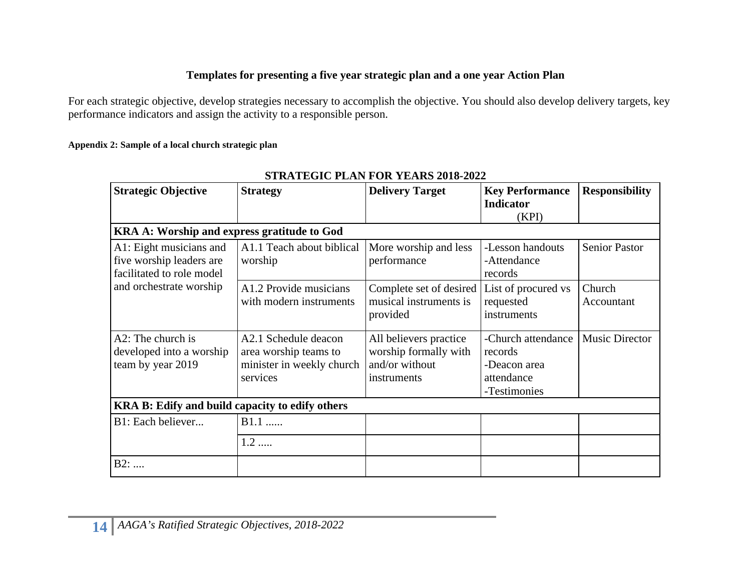#### **Templates for presenting a five year strategic plan and a one year Action Plan**

For each strategic objective, develop strategies necessary to accomplish the objective. You should also develop delivery targets, key performance indicators and assign the activity to a responsible person.

#### **Appendix 2: Sample of a local church strategic plan**

| <b>Strategic Objective</b>                                                       | <b>Strategy</b>                                                                        | <b>Delivery Target</b>                                                           | <b>Key Performance</b><br><b>Indicator</b><br>(KPI)                         | <b>Responsibility</b> |  |  |  |  |  |
|----------------------------------------------------------------------------------|----------------------------------------------------------------------------------------|----------------------------------------------------------------------------------|-----------------------------------------------------------------------------|-----------------------|--|--|--|--|--|
| KRA A: Worship and express gratitude to God                                      |                                                                                        |                                                                                  |                                                                             |                       |  |  |  |  |  |
| A1: Eight musicians and<br>five worship leaders are<br>facilitated to role model | A1.1 Teach about biblical<br>worship                                                   | More worship and less<br>performance                                             | -Lesson handouts<br>-Attendance<br>records                                  | <b>Senior Pastor</b>  |  |  |  |  |  |
| and orchestrate worship                                                          | A1.2 Provide musicians<br>with modern instruments                                      | Complete set of desired<br>musical instruments is<br>provided                    | List of procured vs<br>requested<br>instruments                             | Church<br>Accountant  |  |  |  |  |  |
| A2: The church is<br>developed into a worship<br>team by year 2019               | A2.1 Schedule deacon<br>area worship teams to<br>minister in weekly church<br>services | All believers practice<br>worship formally with<br>and/or without<br>instruments | -Church attendance<br>records<br>-Deacon area<br>attendance<br>-Testimonies | <b>Music Director</b> |  |  |  |  |  |
| KRA B: Edify and build capacity to edify others                                  |                                                                                        |                                                                                  |                                                                             |                       |  |  |  |  |  |
| B1: Each believer                                                                | B1.1                                                                                   |                                                                                  |                                                                             |                       |  |  |  |  |  |
|                                                                                  | $1.2$                                                                                  |                                                                                  |                                                                             |                       |  |  |  |  |  |
| B2:                                                                              |                                                                                        |                                                                                  |                                                                             |                       |  |  |  |  |  |

### **STRATEGIC PLAN FOR YEARS 2018-2022**